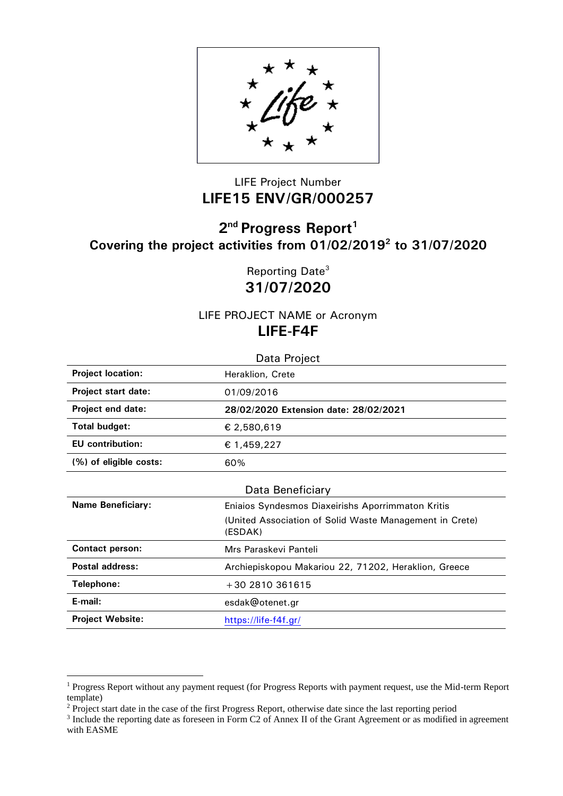

## LIFE Project Number **LIFE15 ENV/GR/000257**

## **2 nd Progress Report<sup>1</sup> Covering the project activities from 01/02/2019<sup>2</sup> to 31/07/2020**

Reporting Date<sup>3</sup> **31/07/2020**

LIFE PROJECT NAME or Acronym **LIFE-F4F**

| Data Project               |                                                                    |  |  |  |  |
|----------------------------|--------------------------------------------------------------------|--|--|--|--|
| <b>Project location:</b>   | Heraklion, Crete                                                   |  |  |  |  |
| <b>Project start date:</b> | 01/09/2016                                                         |  |  |  |  |
| Project end date:          | 28/02/2020 Extension date: 28/02/2021                              |  |  |  |  |
| Total budget:              | € 2,580,619                                                        |  |  |  |  |
| <b>EU</b> contribution:    | € 1,459,227                                                        |  |  |  |  |
| (%) of eligible costs:     | 60%                                                                |  |  |  |  |
|                            | Data Beneficiary                                                   |  |  |  |  |
| <b>Name Beneficiary:</b>   | Eniaios Syndesmos Diaxeirishs Aporrimmaton Kritis                  |  |  |  |  |
|                            | (United Association of Solid Waste Management in Crete)<br>(ESDAK) |  |  |  |  |
| <b>Contact person:</b>     | Mrs Paraskevi Panteli                                              |  |  |  |  |
| Postal address:            | Archiepiskopou Makariou 22, 71202, Heraklion, Greece               |  |  |  |  |
| Telephone:                 | +30 2810 361615                                                    |  |  |  |  |
| E-mail:                    | esdak@otenet.gr                                                    |  |  |  |  |
| <b>Project Website:</b>    | https://life-f4f.gr/                                               |  |  |  |  |

1

<sup>&</sup>lt;sup>1</sup> Progress Report without any payment request (for Progress Reports with payment request, use the Mid-term Report template)

<sup>&</sup>lt;sup>2</sup> Project start date in the case of the first Progress Report, otherwise date since the last reporting period

<sup>&</sup>lt;sup>3</sup> Include the reporting date as foreseen in Form C2 of Annex II of the Grant Agreement or as modified in agreement with EASME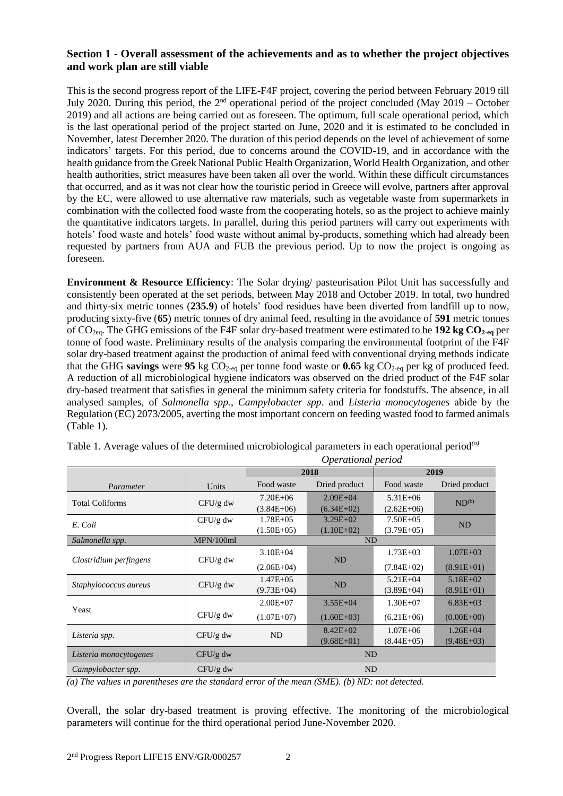## **Section 1 - Overall assessment of the achievements and as to whether the project objectives and work plan are still viable**

This is the second progress report of the LIFE-F4F project, covering the period between February 2019 till July 2020. During this period, the 2<sup>nd</sup> operational period of the project concluded (May 2019 – October 2019) and all actions are being carried out as foreseen. The optimum, full scale operational period, which is the last operational period of the project started on June, 2020 and it is estimated to be concluded in November, latest December 2020. The duration of this period depends on the level of achievement of some indicators' targets. For this period, due to concerns around the COVID-19, and in accordance with the health guidance from the Greek National Public Health Organization, World Health Organization, and other health authorities, strict measures have been taken all over the world. Within these difficult circumstances that occurred, and as it was not clear how the touristic period in Greece will evolve, partners after approval by the EC, were allowed to use alternative raw materials, such as vegetable waste from supermarkets in combination with the collected food waste from the cooperating hotels, so as the project to achieve mainly the quantitative indicators targets. In parallel, during this period partners will carry out experiments with hotels' food waste and hotels' food waste without animal by-products, something which had already been requested by partners from AUA and FUB the previous period. Up to now the project is ongoing as foreseen.

**Environment & Resource Efficiency**: The Solar drying/ pasteurisation Pilot Unit has successfully and consistently been operated at the set periods, between May 2018 and October 2019. In total, two hundred and thirty-six metric tonnes (**235.9**) of hotels' food residues have been diverted from landfill up to now, producing sixty-five (**65**) metric tonnes of dry animal feed, resulting in the avoidance of **591** metric tonnes of CO2eq. The GHG emissions of the F4F solar dry-based treatment were estimated to be **192 kg CO2-eq** per tonne of food waste. Preliminary results of the analysis comparing the environmental footprint of the F4F solar dry-based treatment against the production of animal feed with conventional drying methods indicate that the GHG **savings** were **95** kg CO2-eq per tonne food waste or **0.65** kg CO2-eq per kg of produced feed. A reduction of all microbiological hygiene indicators was observed on the dried product of the F4F solar dry-based treatment that satisfies in general the minimum safety criteria for foodstuffs. The absence, in all analysed samples, of *Salmonella spp.*, *Campylobacter spp*. and *Listeria monocytogenes* abide by the Regulation (EC) 2073/2005, averting the most important concern on feeding wasted food to farmed animals [\(Table 1\)](#page-1-0).

|                        |            | Operational period             |               |              |                   |  |
|------------------------|------------|--------------------------------|---------------|--------------|-------------------|--|
|                        |            | 2018                           |               | 2019         |                   |  |
| Parameter              | Units      | Food waste                     | Dried product | Food waste   | Dried product     |  |
| <b>Total Coliforms</b> | $CFU/g$ dw | $7.20E + 06$                   | $2.09E + 04$  | $5.31E + 06$ | ND <sup>(b)</sup> |  |
|                        |            | $(3.84E+06)$                   | $(6.34E+02)$  | $(2.62E+06)$ |                   |  |
| E. Coli                | $CFU/g$ dw | $1.78E + 0.5$                  | $3.29E + 02$  | $7.50E + 05$ | <b>ND</b>         |  |
|                        |            | $(1.50E+05)$                   | $(1.10E+02)$  | $(3.79E+05)$ |                   |  |
| Salmonella spp.        | MPN/100ml  | N <sub>D</sub>                 |               |              |                   |  |
| Clostridium perfingens | $CFU/g$ dw | $3.10E + 04$                   | <b>ND</b>     | $1.73E + 03$ | $1.07E + 03$      |  |
|                        |            | $(2.06E+04)$                   |               | $(7.84E+02)$ | $(8.91E+01)$      |  |
| Staphylococcus aureus  | $CFU/g$ dw | $1.47E + 0.5$                  | <b>ND</b>     | $5.21E + 04$ | $5.18E + 02$      |  |
|                        |            | $(9.73E+04)$                   |               | $(3.89E+04)$ | $(8.91E+01)$      |  |
| Yeast                  |            | $2.00E + 07$                   | $3.55E + 04$  | $1.30E + 07$ | $6.83E + 03$      |  |
|                        | $CFU/g$ dw | $(1.07E+07)$                   | $(1.60E+03)$  | $(6.21E+06)$ | $(0.00E+00)$      |  |
| Listeria spp.          | $CFU/g$ dw | $8.42E + 02$<br>N <sub>D</sub> |               | $1.07E + 06$ | $1.26E + 04$      |  |
|                        |            |                                | $(9.68E+01)$  | $(8.44E+05)$ | $(9.48E+03)$      |  |
| Listeria monocytogenes | $CFU/g$ dw | <b>ND</b>                      |               |              |                   |  |
| Campylobacter spp.     | $CFU/g$ dw | <b>ND</b>                      |               |              |                   |  |

<span id="page-1-0"></span>Table 1. Average values of the determined microbiological parameters in each operational period*(a)*

*(a) The values in parentheses are the standard error of the mean (SME). (b) ND: not detected.*

Overall, the solar dry-based treatment is proving effective. The monitoring of the microbiological parameters will continue for the third operational period June-November 2020.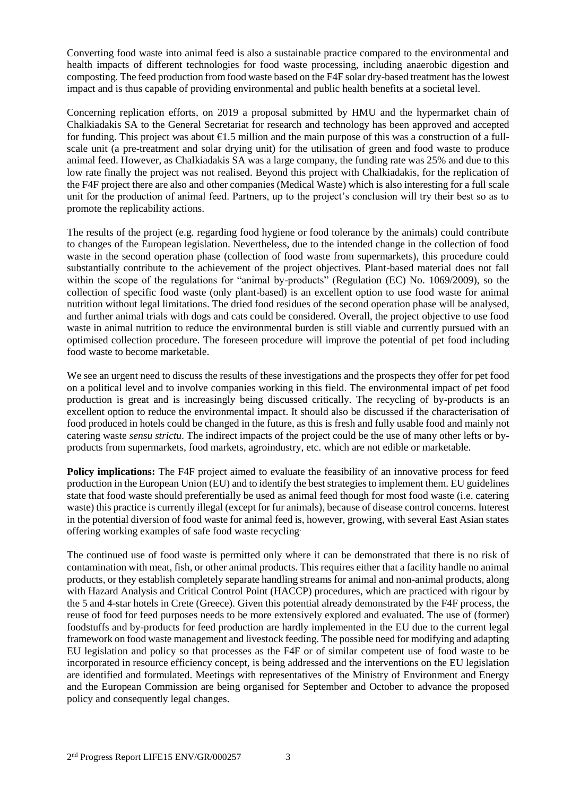Converting food waste into animal feed is also a sustainable practice compared to the environmental and health impacts of different technologies for food waste processing, including anaerobic digestion and composting. The feed production from food waste based on the F4F solar dry-based treatment has the lowest impact and is thus capable of providing environmental and public health benefits at a societal level.

Concerning replication efforts, on 2019 a proposal submitted by HMU and the hypermarket chain of Chalkiadakis SA to the General Secretariat for research and technology has been approved and accepted for funding. This project was about  $\epsilon$ 1.5 million and the main purpose of this was a construction of a fullscale unit (a pre-treatment and solar drying unit) for the utilisation of green and food waste to produce animal feed. However, as Chalkiadakis SA was a large company, the funding rate was 25% and due to this low rate finally the project was not realised. Beyond this project with Chalkiadakis, for the replication of the F4F project there are also and other companies (Medical Waste) which is also interesting for a full scale unit for the production of animal feed. Partners, up to the project's conclusion will try their best so as to promote the replicability actions.

The results of the project (e.g. regarding food hygiene or food tolerance by the animals) could contribute to changes of the European legislation. Nevertheless, due to the intended change in the collection of food waste in the second operation phase (collection of food waste from supermarkets), this procedure could substantially contribute to the achievement of the project objectives. Plant-based material does not fall within the scope of the regulations for "animal by-products" (Regulation (EC) No. 1069/2009), so the collection of specific food waste (only plant-based) is an excellent option to use food waste for animal nutrition without legal limitations. The dried food residues of the second operation phase will be analysed, and further animal trials with dogs and cats could be considered. Overall, the project objective to use food waste in animal nutrition to reduce the environmental burden is still viable and currently pursued with an optimised collection procedure. The foreseen procedure will improve the potential of pet food including food waste to become marketable.

We see an urgent need to discuss the results of these investigations and the prospects they offer for pet food on a political level and to involve companies working in this field. The environmental impact of pet food production is great and is increasingly being discussed critically. The recycling of by-products is an excellent option to reduce the environmental impact. It should also be discussed if the characterisation of food produced in hotels could be changed in the future, as this is fresh and fully usable food and mainly not catering waste *sensu strictu*. The indirect impacts of the project could be the use of many other lefts or byproducts from supermarkets, food markets, agroindustry, etc. which are not edible or marketable.

**Policy implications:** The F4F project aimed to evaluate the feasibility of an innovative process for feed production in the European Union (EU) and to identify the best strategies to implement them. EU guidelines state that food waste should preferentially be used as animal feed though for most food waste (i.e. catering waste) this practice is currently illegal (except for fur animals), because of disease control concerns. Interest in the potential diversion of food waste for animal feed is, however, growing, with several East Asian states offering working examples of safe food waste recycling.

The continued use of food waste is permitted only where it can be demonstrated that there is no risk of contamination with meat, fish, or other animal products. This requires either that a facility handle no animal products, or they establish completely separate handling streams for animal and non-animal products, along with Hazard Analysis and Critical Control Point (HACCP) procedures, which are practiced with rigour by the 5 and 4-star hotels in Crete (Greece). Given this potential already demonstrated by the F4F process, the reuse of food for feed purposes needs to be more extensively explored and evaluated. The use of (former) foodstuffs and by-products for feed production are hardly implemented in the EU due to the current legal framework on food waste management and livestock feeding. The possible need for modifying and adapting EU legislation and policy so that processes as the F4F or of similar competent use of food waste to be incorporated in resource efficiency concept, is being addressed and the interventions on the EU legislation are identified and formulated. Meetings with representatives of the Ministry of Environment and Energy and the European Commission are being organised for September and October to advance the proposed policy and consequently legal changes.